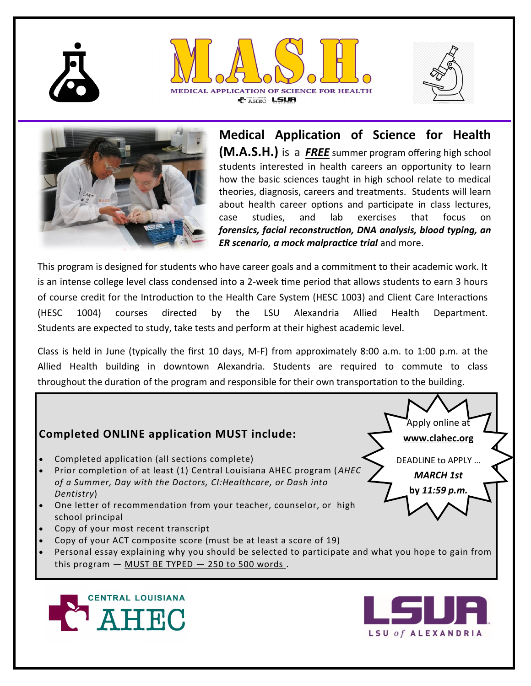





**LSU of ALEXANDRIA** 



**Medical Application of Science for Health (M.A.S.H.)** is a *FREE* summer program offering high school students interested in health careers an opportunity to learn how the basic sciences taught in high school relate to medical theories, diagnosis, careers and treatments. Students will learn about health career options and participate in class lectures, case studies, and lab exercises that focus on *forensics, facial reconstruction, DNA analysis, blood typing, an ER scenario, a mock malpractice trial* and more.

This program is designed for students who have career goals and a commitment to their academic work. It is an intense college level class condensed into a 2-week time period that allows students to earn 3 hours of course credit for the Introduction to the Health Care System (HESC 1003) and Client Care Interactions (HESC 1004) courses directed by the LSU Alexandria Allied Health Department. Students are expected to study, take tests and perform at their highest academic level.

Class is held in June (typically the first 10 days, M-F) from approximately 8:00 a.m. to 1:00 p.m. at the Allied Health building in downtown Alexandria. Students are required to commute to class throughout the duration of the program and responsible for their own transportation to the building.